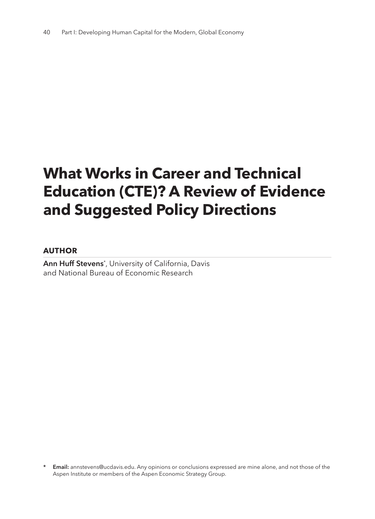# **What Works in Career and Technical Education (CTE)? A Review of Evidence and Suggested Policy Directions**

#### **AUTHOR**

**Ann Huff Stevens**\* , University of California, Davis and National Bureau of Economic Research

**<sup>\*</sup> Email:** annstevens@ucdavis.edu. Any opinions or conclusions expressed are mine alone, and not those of the Aspen Institute or members of the Aspen Economic Strategy Group.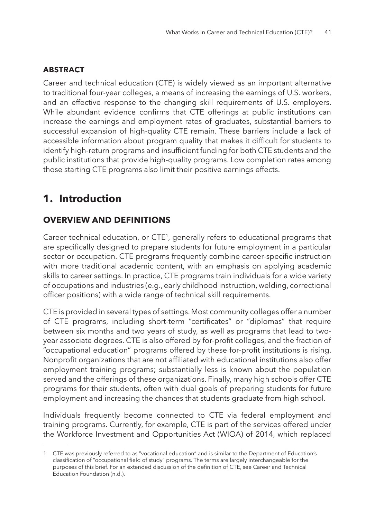### **ABSTRACT**

Career and technical education (CTE) is widely viewed as an important alternative to traditional four-year colleges, a means of increasing the earnings of U.S. workers, and an effective response to the changing skill requirements of U.S. employers. While abundant evidence confirms that CTE offerings at public institutions can increase the earnings and employment rates of graduates, substantial barriers to successful expansion of high-quality CTE remain. These barriers include a lack of accessible information about program quality that makes it difficult for students to identify high-return programs and insufficient funding for both CTE students and the public institutions that provide high-quality programs. Low completion rates among those starting CTE programs also limit their positive earnings effects.

# **1. Introduction**

### **OVERVIEW AND DEFINITIONS**

Career technical education, or CTE<sup>1</sup>, generally refers to educational programs that are specifically designed to prepare students for future employment in a particular sector or occupation. CTE programs frequently combine career-specific instruction with more traditional academic content, with an emphasis on applying academic skills to career settings. In practice, CTE programs train individuals for a wide variety of occupations and industries (e.g., early childhood instruction, welding, correctional officer positions) with a wide range of technical skill requirements.

CTE is provided in several types of settings. Most community colleges offer a number of CTE programs, including short-term "certificates" or "diplomas" that require between six months and two years of study, as well as programs that lead to twoyear associate degrees. CTE is also offered by for-profit colleges, and the fraction of "occupational education" programs offered by these for-profit institutions is rising. Nonprofit organizations that are not affiliated with educational institutions also offer employment training programs; substantially less is known about the population served and the offerings of these organizations. Finally, many high schools offer CTE programs for their students, often with dual goals of preparing students for future employment and increasing the chances that students graduate from high school.

Individuals frequently become connected to CTE via federal employment and training programs. Currently, for example, CTE is part of the services offered under the Workforce Investment and Opportunities Act (WIOA) of 2014, which replaced

<sup>1</sup> CTE was previously referred to as "vocational education" and is similar to the Department of Education's classification of "occupational field of study" programs. The terms are largely interchangeable for the purposes of this brief. For an extended discussion of the definition of CTE, see Career and Technical Education Foundation (n.d.).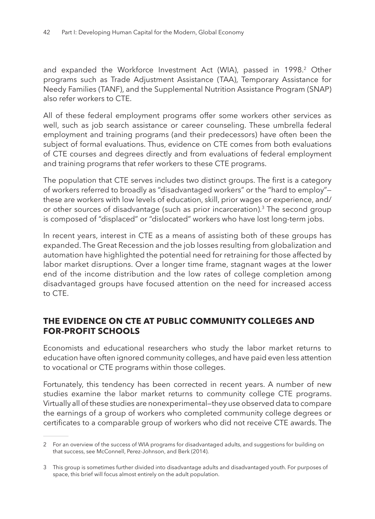and expanded the Workforce Investment Act (WIA), passed in 1998.<sup>2</sup> Other programs such as Trade Adjustment Assistance (TAA), Temporary Assistance for Needy Families (TANF), and the Supplemental Nutrition Assistance Program (SNAP) also refer workers to CTE.

All of these federal employment programs offer some workers other services as well, such as job search assistance or career counseling. These umbrella federal employment and training programs (and their predecessors) have often been the subject of formal evaluations. Thus, evidence on CTE comes from both evaluations of CTE courses and degrees directly and from evaluations of federal employment and training programs that refer workers to these CTE programs.

The population that CTE serves includes two distinct groups. The first is a category of workers referred to broadly as "disadvantaged workers" or the "hard to employ" these are workers with low levels of education, skill, prior wages or experience, and/ or other sources of disadvantage (such as prior incarceration).3 The second group is composed of "displaced" or "dislocated" workers who have lost long-term jobs.

In recent years, interest in CTE as a means of assisting both of these groups has expanded. The Great Recession and the job losses resulting from globalization and automation have highlighted the potential need for retraining for those affected by labor market disruptions. Over a longer time frame, stagnant wages at the lower end of the income distribution and the low rates of college completion among disadvantaged groups have focused attention on the need for increased access to CTE.

### **THE EVIDENCE ON CTE AT PUBLIC COMMUNITY COLLEGES AND FOR-PROFIT SCHOOLS**

Economists and educational researchers who study the labor market returns to education have often ignored community colleges, and have paid even less attention to vocational or CTE programs within those colleges.

Fortunately, this tendency has been corrected in recent years. A number of new studies examine the labor market returns to community college CTE programs. Virtually all of these studies are nonexperimental—they use observed data to compare the earnings of a group of workers who completed community college degrees or certificates to a comparable group of workers who did not receive CTE awards. The

<sup>2</sup> For an overview of the success of WIA programs for disadvantaged adults, and suggestions for building on that success, see McConnell, Perez-Johnson, and Berk (2014).

<sup>3</sup> This group is sometimes further divided into disadvantage adults and disadvantaged youth. For purposes of space, this brief will focus almost entirely on the adult population.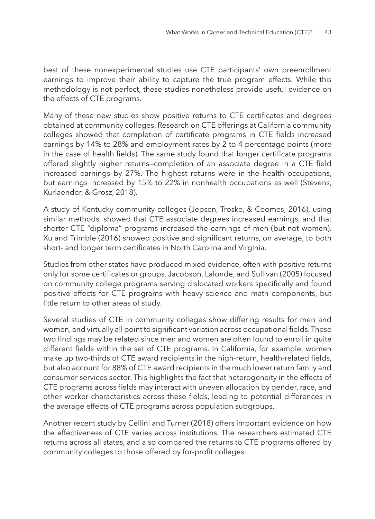best of these nonexperimental studies use CTE participants' own preenrollment earnings to improve their ability to capture the true program effects. While this methodology is not perfect, these studies nonetheless provide useful evidence on the effects of CTE programs.

Many of these new studies show positive returns to CTE certificates and degrees obtained at community colleges. Research on CTE offerings at California community colleges showed that completion of certificate programs in CTE fields increased earnings by 14% to 28% and employment rates by 2 to 4 percentage points (more in the case of health fields). The same study found that longer certificate programs offered slightly higher returns—completion of an associate degree in a CTE field increased earnings by 27%. The highest returns were in the health occupations, but earnings increased by 15% to 22% in nonhealth occupations as well (Stevens, Kurlaender, & Grosz, 2018).

A study of Kentucky community colleges (Jepsen, Troske, & Coomes, 2016), using similar methods, showed that CTE associate degrees increased earnings, and that shorter CTE "diploma" programs increased the earnings of men (but not women). Xu and Trimble (2016) showed positive and significant returns, on average, to both short- and longer term certificates in North Carolina and Virginia.

Studies from other states have produced mixed evidence, often with positive returns only for some certificates or groups. Jacobson, Lalonde, and Sullivan (2005) focused on community college programs serving dislocated workers specifically and found positive effects for CTE programs with heavy science and math components, but little return to other areas of study.

Several studies of CTE in community colleges show differing results for men and women, and virtually all point to significant variation across occupational fields. These two findings may be related since men and women are often found to enroll in quite different fields within the set of CTE programs. In California, for example, women make up two-thirds of CTE award recipients in the high-return, health-related fields, but also account for 88% of CTE award recipients in the much lower return family and consumer services sector. This highlights the fact that heterogeneity in the effects of CTE programs across fields may interact with uneven allocation by gender, race, and other worker characteristics across these fields, leading to potential differences in the average effects of CTE programs across population subgroups.

Another recent study by Cellini and Turner (2018) offers important evidence on how the effectiveness of CTE varies across institutions. The researchers estimated CTE returns across all states, and also compared the returns to CTE programs offered by community colleges to those offered by for-profit colleges.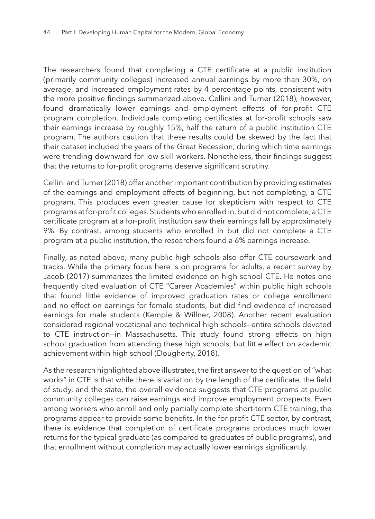The researchers found that completing a CTE certificate at a public institution (primarily community colleges) increased annual earnings by more than 30%, on average, and increased employment rates by 4 percentage points, consistent with the more positive findings summarized above. Cellini and Turner (2018), however, found dramatically lower earnings and employment effects of for-profit CTE program completion. Individuals completing certificates at for-profit schools saw their earnings increase by roughly 15%, half the return of a public institution CTE program. The authors caution that these results could be skewed by the fact that their dataset included the years of the Great Recession, during which time earnings were trending downward for low-skill workers. Nonetheless, their findings suggest that the returns to for-profit programs deserve significant scrutiny.

Cellini and Turner (2018) offer another important contribution by providing estimates of the earnings and employment effects of beginning, but not completing, a CTE program. This produces even greater cause for skepticism with respect to CTE programs at for-profit colleges. Students who enrolled in, but did not complete, a CTE certificate program at a for-profit institution saw their earnings fall by approximately 9%. By contrast, among students who enrolled in but did not complete a CTE program at a public institution, the researchers found a 6% earnings increase.

Finally, as noted above, many public high schools also offer CTE coursework and tracks. While the primary focus here is on programs for adults, a recent survey by Jacob (2017) summarizes the limited evidence on high school CTE. He notes one frequently cited evaluation of CTE "Career Academies" within public high schools that found little evidence of improved graduation rates or college enrollment and no effect on earnings for female students, but did find evidence of increased earnings for male students (Kemple & Willner, 2008). Another recent evaluation considered regional vocational and technical high schools—entire schools devoted to CTE instruction—in Massachusetts. This study found strong effects on high school graduation from attending these high schools, but little effect on academic achievement within high school (Dougherty, 2018).

As the research highlighted above illustrates, the first answer to the question of "what works" in CTE is that while there is variation by the length of the certificate, the field of study, and the state, the overall evidence suggests that CTE programs at public community colleges can raise earnings and improve employment prospects. Even among workers who enroll and only partially complete short-term CTE training, the programs appear to provide some benefits. In the for-profit CTE sector, by contrast, there is evidence that completion of certificate programs produces much lower returns for the typical graduate (as compared to graduates of public programs), and that enrollment without completion may actually lower earnings significantly.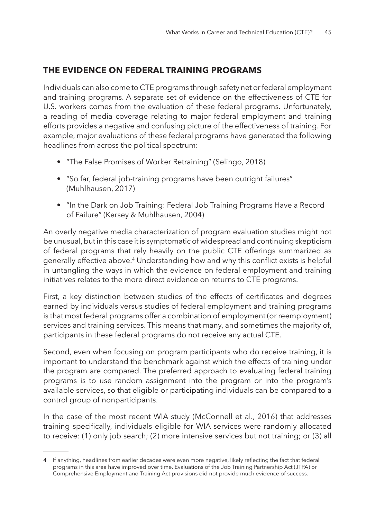## **THE EVIDENCE ON FEDERAL TRAINING PROGRAMS**

Individuals can also come to CTE programs through safety net or federal employment and training programs. A separate set of evidence on the effectiveness of CTE for U.S. workers comes from the evaluation of these federal programs. Unfortunately, a reading of media coverage relating to major federal employment and training efforts provides a negative and confusing picture of the effectiveness of training. For example, major evaluations of these federal programs have generated the following headlines from across the political spectrum:

- "The False Promises of Worker Retraining" (Selingo, 2018)
- "So far, federal job-training programs have been outright failures" (Muhlhausen, 2017)
- "In the Dark on Job Training: Federal Job Training Programs Have a Record of Failure" (Kersey & Muhlhausen, 2004)

An overly negative media characterization of program evaluation studies might not be unusual, but in this case it is symptomatic of widespread and continuing skepticism of federal programs that rely heavily on the public CTE offerings summarized as generally effective above.4 Understanding how and why this conflict exists is helpful in untangling the ways in which the evidence on federal employment and training initiatives relates to the more direct evidence on returns to CTE programs.

First, a key distinction between studies of the effects of certificates and degrees earned by individuals versus studies of federal employment and training programs is that most federal programs offer a combination of employment (or reemployment) services and training services. This means that many, and sometimes the majority of, participants in these federal programs do not receive any actual CTE.

Second, even when focusing on program participants who do receive training, it is important to understand the benchmark against which the effects of training under the program are compared. The preferred approach to evaluating federal training programs is to use random assignment into the program or into the program's available services, so that eligible or participating individuals can be compared to a control group of nonparticipants.

In the case of the most recent WIA study (McConnell et al., 2016) that addresses training specifically, individuals eligible for WIA services were randomly allocated to receive: (1) only job search; (2) more intensive services but not training; or (3) all

<sup>4</sup> If anything, headlines from earlier decades were even more negative, likely reflecting the fact that federal programs in this area have improved over time. Evaluations of the Job Training Partnership Act (JTPA) or Comprehensive Employment and Training Act provisions did not provide much evidence of success.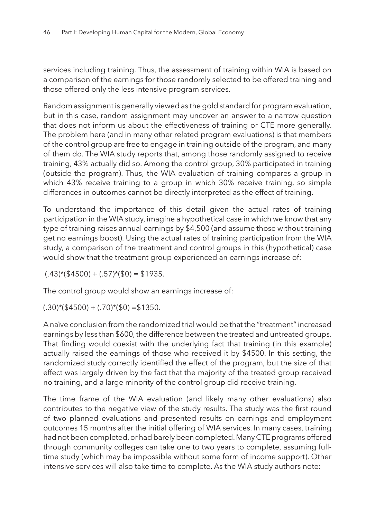services including training. Thus, the assessment of training within WIA is based on a comparison of the earnings for those randomly selected to be offered training and those offered only the less intensive program services.

Random assignment is generally viewed as the gold standard for program evaluation, but in this case, random assignment may uncover an answer to a narrow question that does not inform us about the effectiveness of training or CTE more generally. The problem here (and in many other related program evaluations) is that members of the control group are free to engage in training outside of the program, and many of them do. The WIA study reports that, among those randomly assigned to receive training, 43% actually did so. Among the control group, 30% participated in training (outside the program). Thus, the WIA evaluation of training compares a group in which 43% receive training to a group in which 30% receive training, so simple differences in outcomes cannot be directly interpreted as the effect of training.

To understand the importance of this detail given the actual rates of training participation in the WIA study, imagine a hypothetical case in which we know that any type of training raises annual earnings by \$4,500 (and assume those without training get no earnings boost). Using the actual rates of training participation from the WIA study, a comparison of the treatment and control groups in this (hypothetical) case would show that the treatment group experienced an earnings increase of:

 $(.43)*(\$4500) + (.57)*(\$0) = \$1935.$ 

The control group would show an earnings increase of:

 $(.30)*(\$4500) + (.70)*(\$0) = \$1350.$ 

A naïve conclusion from the randomized trial would be that the "treatment" increased earnings by less than \$600, the difference between the treated and untreated groups. That finding would coexist with the underlying fact that training (in this example) actually raised the earnings of those who received it by \$4500. In this setting, the randomized study correctly identified the effect of the program, but the size of that effect was largely driven by the fact that the majority of the treated group received no training, and a large minority of the control group did receive training.

The time frame of the WIA evaluation (and likely many other evaluations) also contributes to the negative view of the study results. The study was the first round of two planned evaluations and presented results on earnings and employment outcomes 15 months after the initial offering of WIA services. In many cases, training had not been completed, or had barely been completed. Many CTE programs offered through community colleges can take one to two years to complete, assuming fulltime study (which may be impossible without some form of income support). Other intensive services will also take time to complete. As the WIA study authors note: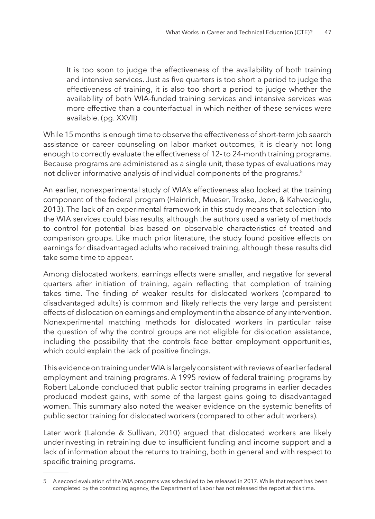It is too soon to judge the effectiveness of the availability of both training and intensive services. Just as five quarters is too short a period to judge the effectiveness of training, it is also too short a period to judge whether the availability of both WIA-funded training services and intensive services was more effective than a counterfactual in which neither of these services were available. (pg. XXVII)

While 15 months is enough time to observe the effectiveness of short-term job search assistance or career counseling on labor market outcomes, it is clearly not long enough to correctly evaluate the effectiveness of 12- to 24-month training programs. Because programs are administered as a single unit, these types of evaluations may not deliver informative analysis of individual components of the programs.<sup>5</sup>

An earlier, nonexperimental study of WIA's effectiveness also looked at the training component of the federal program (Heinrich, Mueser, Troske, Jeon, & Kahvecioglu, 2013). The lack of an experimental framework in this study means that selection into the WIA services could bias results, although the authors used a variety of methods to control for potential bias based on observable characteristics of treated and comparison groups. Like much prior literature, the study found positive effects on earnings for disadvantaged adults who received training, although these results did take some time to appear.

Among dislocated workers, earnings effects were smaller, and negative for several quarters after initiation of training, again reflecting that completion of training takes time. The finding of weaker results for dislocated workers (compared to disadvantaged adults) is common and likely reflects the very large and persistent effects of dislocation on earnings and employment in the absence of any intervention. Nonexperimental matching methods for dislocated workers in particular raise the question of why the control groups are not eligible for dislocation assistance, including the possibility that the controls face better employment opportunities, which could explain the lack of positive findings.

This evidence on training under WIA is largely consistent with reviews of earlier federal employment and training programs. A 1995 review of federal training programs by Robert LaLonde concluded that public sector training programs in earlier decades produced modest gains, with some of the largest gains going to disadvantaged women. This summary also noted the weaker evidence on the systemic benefits of public sector training for dislocated workers (compared to other adult workers).

Later work (Lalonde & Sullivan, 2010) argued that dislocated workers are likely underinvesting in retraining due to insufficient funding and income support and a lack of information about the returns to training, both in general and with respect to specific training programs.

<sup>5</sup> A second evaluation of the WIA programs was scheduled to be released in 2017. While that report has been completed by the contracting agency, the Department of Labor has not released the report at this time.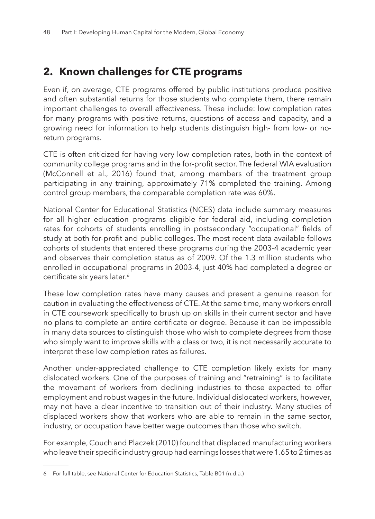# **2. Known challenges for CTE programs**

Even if, on average, CTE programs offered by public institutions produce positive and often substantial returns for those students who complete them, there remain important challenges to overall effectiveness. These include: low completion rates for many programs with positive returns, questions of access and capacity, and a growing need for information to help students distinguish high- from low- or noreturn programs.

CTE is often criticized for having very low completion rates, both in the context of community college programs and in the for-profit sector. The federal WIA evaluation (McConnell et al., 2016) found that, among members of the treatment group participating in any training, approximately 71% completed the training. Among control group members, the comparable completion rate was 60%.

National Center for Educational Statistics (NCES) data include summary measures for all higher education programs eligible for federal aid, including completion rates for cohorts of students enrolling in postsecondary "occupational" fields of study at both for-profit and public colleges. The most recent data available follows cohorts of students that entered these programs during the 2003-4 academic year and observes their completion status as of 2009. Of the 1.3 million students who enrolled in occupational programs in 2003-4, just 40% had completed a degree or certificate six years later.<sup>6</sup>

These low completion rates have many causes and present a genuine reason for caution in evaluating the effectiveness of CTE. At the same time, many workers enroll in CTE coursework specifically to brush up on skills in their current sector and have no plans to complete an entire certificate or degree. Because it can be impossible in many data sources to distinguish those who wish to complete degrees from those who simply want to improve skills with a class or two, it is not necessarily accurate to interpret these low completion rates as failures.

Another under-appreciated challenge to CTE completion likely exists for many dislocated workers. One of the purposes of training and "retraining" is to facilitate the movement of workers from declining industries to those expected to offer employment and robust wages in the future. Individual dislocated workers, however, may not have a clear incentive to transition out of their industry. Many studies of displaced workers show that workers who are able to remain in the same sector, industry, or occupation have better wage outcomes than those who switch.

For example, Couch and Placzek (2010) found that displaced manufacturing workers who leave their specific industry group had earnings losses that were 1.65 to 2 times as

<sup>6</sup> For full table, see National Center for Education Statistics, Table B01 (n.d.a.)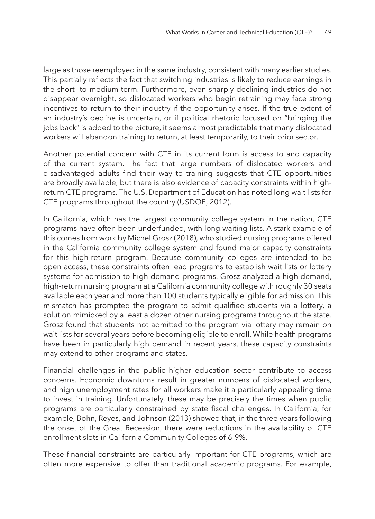large as those reemployed in the same industry, consistent with many earlier studies. This partially reflects the fact that switching industries is likely to reduce earnings in the short- to medium-term. Furthermore, even sharply declining industries do not disappear overnight, so dislocated workers who begin retraining may face strong incentives to return to their industry if the opportunity arises. If the true extent of an industry's decline is uncertain, or if political rhetoric focused on "bringing the jobs back" is added to the picture, it seems almost predictable that many dislocated workers will abandon training to return, at least temporarily, to their prior sector.

Another potential concern with CTE in its current form is access to and capacity of the current system. The fact that large numbers of dislocated workers and disadvantaged adults find their way to training suggests that CTE opportunities are broadly available, but there is also evidence of capacity constraints within highreturn CTE programs. The U.S. Department of Education has noted long wait lists for CTE programs throughout the country (USDOE, 2012).

In California, which has the largest community college system in the nation, CTE programs have often been underfunded, with long waiting lists. A stark example of this comes from work by Michel Grosz (2018), who studied nursing programs offered in the California community college system and found major capacity constraints for this high-return program. Because community colleges are intended to be open access, these constraints often lead programs to establish wait lists or lottery systems for admission to high-demand programs. Grosz analyzed a high-demand, high-return nursing program at a California community college with roughly 30 seats available each year and more than 100 students typically eligible for admission. This mismatch has prompted the program to admit qualified students via a lottery, a solution mimicked by a least a dozen other nursing programs throughout the state. Grosz found that students not admitted to the program via lottery may remain on wait lists for several years before becoming eligible to enroll. While health programs have been in particularly high demand in recent years, these capacity constraints may extend to other programs and states.

Financial challenges in the public higher education sector contribute to access concerns. Economic downturns result in greater numbers of dislocated workers, and high unemployment rates for all workers make it a particularly appealing time to invest in training. Unfortunately, these may be precisely the times when public programs are particularly constrained by state fiscal challenges. In California, for example, Bohn, Reyes, and Johnson (2013) showed that, in the three years following the onset of the Great Recession, there were reductions in the availability of CTE enrollment slots in California Community Colleges of 6-9%.

These financial constraints are particularly important for CTE programs, which are often more expensive to offer than traditional academic programs. For example,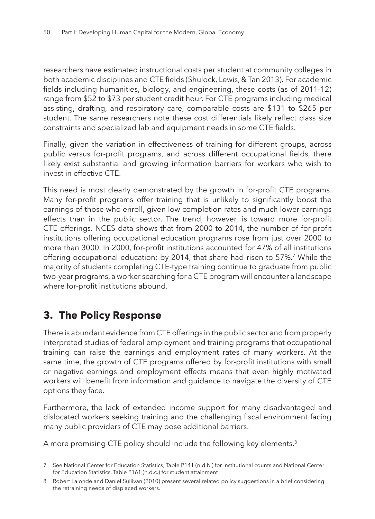researchers have estimated instructional costs per student at community colleges in both academic disciplines and CTE fields (Shulock, Lewis, & Tan 2013). For academic fields including humanities, biology, and engineering, these costs (as of 2011-12) range from \$52 to \$73 per student credit hour. For CTE programs including medical assisting, drafting, and respiratory care, comparable costs are \$131 to \$265 per student. The same researchers note these cost differentials likely reflect class size constraints and specialized lab and equipment needs in some CTE fields.

Finally, given the variation in effectiveness of training for different groups, across public versus for-profit programs, and across different occupational fields, there likely exist substantial and growing information barriers for workers who wish to invest in effective CTE.

This need is most clearly demonstrated by the growth in for-profit CTE programs. Many for-profit programs offer training that is unlikely to significantly boost the earnings of those who enroll, given low completion rates and much lower earnings effects than in the public sector. The trend, however, is toward more for-profit CTE offerings. NCES data shows that from 2000 to 2014, the number of for-profit institutions offering occupational education programs rose from just over 2000 to more than 3000. In 2000, for-profit institutions accounted for 47% of all institutions offering occupational education; by 2014, that share had risen to 57%.<sup>7</sup> While the majority of students completing CTE-type training continue to graduate from public two-year programs, a worker searching for a CTE program will encounter a landscape where for-profit institutions abound.

# **3. The Policy Response**

There is abundant evidence from CTE offerings in the public sector and from properly interpreted studies of federal employment and training programs that occupational training can raise the earnings and employment rates of many workers. At the same time, the growth of CTE programs offered by for-profit institutions with small or negative earnings and employment effects means that even highly motivated workers will benefit from information and guidance to navigate the diversity of CTE options they face.

Furthermore, the lack of extended income support for many disadvantaged and dislocated workers seeking training and the challenging fiscal environment facing many public providers of CTE may pose additional barriers.

A more promising CTE policy should include the following key elements.<sup>8</sup>

<sup>7</sup> See National Center for Education Statistics, Table P141 (n.d.b.) for institutional counts and National Center for Education Statistics, Table P161 (n.d.c.) for student attainment

<sup>8</sup> Robert Lalonde and Daniel Sullivan (2010) present several related policy suggestions in a brief considering the retraining needs of displaced workers.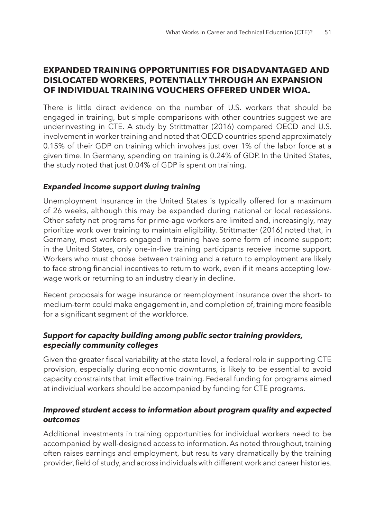### **EXPANDED TRAINING OPPORTUNITIES FOR DISADVANTAGED AND DISLOCATED WORKERS, POTENTIALLY THROUGH AN EXPANSION OF INDIVIDUAL TRAINING VOUCHERS OFFERED UNDER WIOA.**

There is little direct evidence on the number of U.S. workers that should be engaged in training, but simple comparisons with other countries suggest we are underinvesting in CTE. A study by Strittmatter (2016) compared OECD and U.S. involvement in worker training and noted that OECD countries spend approximately 0.15% of their GDP on training which involves just over 1% of the labor force at a given time. In Germany, spending on training is 0.24% of GDP. In the United States, the study noted that just 0.04% of GDP is spent on training.

#### *Expanded income support during training*

Unemployment Insurance in the United States is typically offered for a maximum of 26 weeks, although this may be expanded during national or local recessions. Other safety net programs for prime-age workers are limited and, increasingly, may prioritize work over training to maintain eligibility. Strittmatter (2016) noted that, in Germany, most workers engaged in training have some form of income support; in the United States, only one-in-five training participants receive income support. Workers who must choose between training and a return to employment are likely to face strong financial incentives to return to work, even if it means accepting lowwage work or returning to an industry clearly in decline.

Recent proposals for wage insurance or reemployment insurance over the short- to medium-term could make engagement in, and completion of, training more feasible for a significant segment of the workforce.

#### *Support for capacity building among public sector training providers, especially community colleges*

Given the greater fiscal variability at the state level, a federal role in supporting CTE provision, especially during economic downturns, is likely to be essential to avoid capacity constraints that limit effective training. Federal funding for programs aimed at individual workers should be accompanied by funding for CTE programs.

#### *Improved student access to information about program quality and expected outcomes*

Additional investments in training opportunities for individual workers need to be accompanied by well-designed access to information. As noted throughout, training often raises earnings and employment, but results vary dramatically by the training provider, field of study, and across individuals with different work and career histories.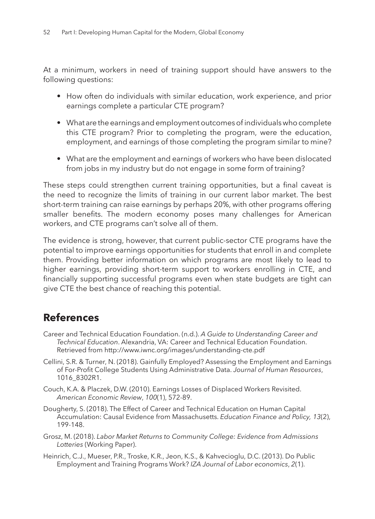At a minimum, workers in need of training support should have answers to the following questions:

- How often do individuals with similar education, work experience, and prior earnings complete a particular CTE program?
- What are the earnings and employment outcomes of individuals who complete this CTE program? Prior to completing the program, were the education, employment, and earnings of those completing the program similar to mine?
- What are the employment and earnings of workers who have been dislocated from jobs in my industry but do not engage in some form of training?

These steps could strengthen current training opportunities, but a final caveat is the need to recognize the limits of training in our current labor market. The best short-term training can raise earnings by perhaps 20%, with other programs offering smaller benefits. The modern economy poses many challenges for American workers, and CTE programs can't solve all of them.

The evidence is strong, however, that current public-sector CTE programs have the potential to improve earnings opportunities for students that enroll in and complete them. Providing better information on which programs are most likely to lead to higher earnings, providing short-term support to workers enrolling in CTE, and financially supporting successful programs even when state budgets are tight can give CTE the best chance of reaching this potential.

# **References**

- Career and Technical Education Foundation. (n.d.). *A Guide to Understanding Career and Technical Education*. Alexandria, VA: Career and Technical Education Foundation. Retrieved from http://www.iwnc.org/images/understanding-cte.pdf
- Cellini, S.R. & Turner, N. (2018). Gainfully Employed? Assessing the Employment and Earnings of For-Profit College Students Using Administrative Data. *Journal of Human Resources*, 1016\_8302R1.
- Couch, K.A. & Placzek, D.W. (2010). Earnings Losses of Displaced Workers Revisited. *American Economic Review*, *100*(1), 572-89.
- Dougherty, S. (2018). The Effect of Career and Technical Education on Human Capital Accumulation: Causal Evidence from Massachusetts. *Education Finance and Policy, 13*(2), 199-148.
- Grosz, M. (2018). *Labor Market Returns to Community College: Evidence from Admissions Lotteries* (Working Paper).
- Heinrich, C.J., Mueser, P.R., Troske, K.R., Jeon, K.S., & Kahvecioglu, D.C. (2013). Do Public Employment and Training Programs Work? *IZA Journal of Labor economics*, *2*(1).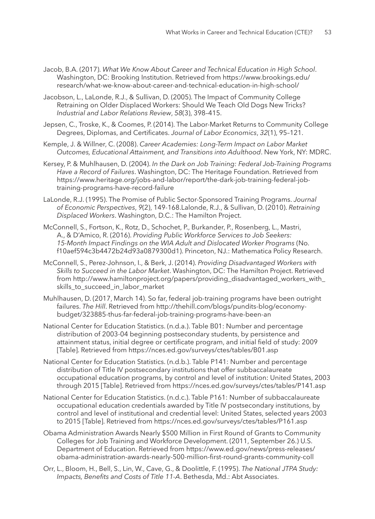- Jacob, B.A. (2017). *What We Know About Career and Technical Education in High School*. Washington, DC: Brooking Institution. Retrieved from https://www.brookings.edu/ research/what-we-know-about-career-and-technical-education-in-high-school/
- Jacobson, L., LaLonde, R.J., & Sullivan, D. (2005). The Impact of Community College Retraining on Older Displaced Workers: Should We Teach Old Dogs New Tricks? *Industrial and Labor Relations Review*, *58*(3), 398–415.
- Jepsen, C., Troske, K., & Coomes, P. (2014). The Labor-Market Returns to Community College Degrees, Diplomas, and Certificates. *Journal of Labor Economics*, *32*(1), 95–121.
- Kemple, J. & Willner, C. (2008). *Career Academies: Long-Term Impact on Labor Market Outcomes, Educational Attainment, and Transitions into Adulthood*. New York, NY: MDRC.
- Kersey, P. & Muhlhausen, D. (2004). *In the Dark on Job Training: Federal Job-Training Programs Have a Record of Failures*. Washington, DC: The Heritage Foundation. Retrieved from https://www.heritage.org/jobs-and-labor/report/the-dark-job-training-federal-jobtraining-programs-have-record-failure
- LaLonde, R.J. (1995). The Promise of Public Sector-Sponsored Training Programs. *Journal of Economic Perspectives*, *9*(2), 149-168.Lalonde, R.J., & Sullivan, D. (2010). *Retraining Displaced Workers*. Washington, D.C.: The Hamilton Project.
- McConnell, S., Fortson, K., Rotz, D., Schochet, P., Burkander, P., Rosenberg, L., Mastri, A., & D'Amico, R. (2016). *Providing Public Workforce Services to Job Seekers: 15-Month Impact Findings on the WIA Adult and Dislocated Worker Programs* (No. f10aef594c3b4472b24d93a0879300d1). Princeton, NJ.: Mathematica Policy Research.
- McConnell, S., Perez-Johnson, I., & Berk, J. (2014). *Providing Disadvantaged Workers with Skills to Succeed in the Labor Market*. Washington, DC: The Hamilton Project. Retrieved from http://www.hamiltonproject.org/papers/providing\_disadvantaged\_workers\_with\_ skills to succeed in labor market
- Muhlhausen, D. (2017, March 14). So far, federal job-training programs have been outright failures. *The Hill*. Retrieved from http://thehill.com/blogs/pundits-blog/economybudget/323885-thus-far-federal-job-training-programs-have-been-an
- National Center for Education Statistics. (n.d.a.). Table B01: Number and percentage distribution of 2003-04 beginning postsecondary students, by persistence and attainment status, initial degree or certificate program, and initial field of study: 2009 [Table]. Retrieved from https://nces.ed.gov/surveys/ctes/tables/B01.asp
- National Center for Education Statistics. (n.d.b.). Table P141: Number and percentage distribution of Title IV postsecondary institutions that offer subbaccalaureate occupational education programs, by control and level of institution: United States, 2003 through 2015 [Table]. Retrieved from https://nces.ed.gov/surveys/ctes/tables/P141.asp
- National Center for Education Statistics. (n.d.c.). Table P161: Number of subbaccalaureate occupational education credentials awarded by Title IV postsecondary institutions, by control and level of institutional and credential level: United States, selected years 2003 to 2015 [Table]. Retrieved from https://nces.ed.gov/surveys/ctes/tables/P161.asp
- Obama Administration Awards Nearly \$500 Million in First Round of Grants to Community Colleges for Job Training and Workforce Development. (2011, September 26.) U.S. Department of Education. Retrieved from https://www.ed.gov/news/press-releases/ obama-administration-awards-nearly-500-million-first-round-grants-community-coll
- Orr, L., Bloom, H., Bell, S., Lin, W., Cave, G., & Doolittle, F. (1995). *The National JTPA Study: Impacts, Benefits and Costs of Title 11-A*. Bethesda, Md.: Abt Associates.